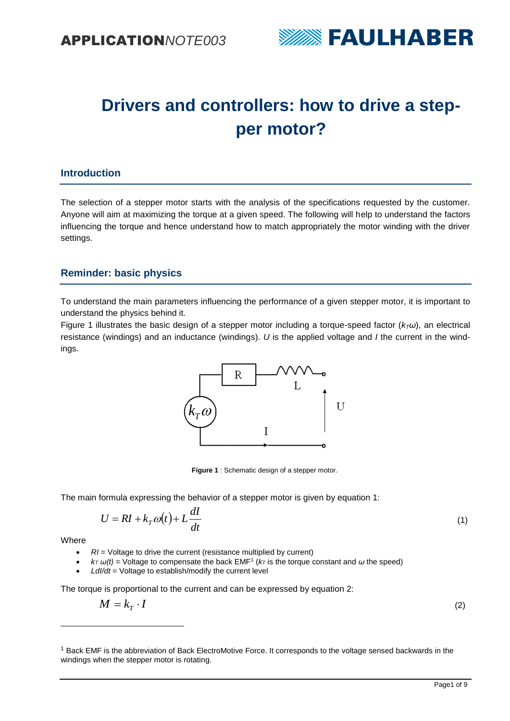

# **Drivers and controllers: how to drive a stepper motor?**

### **Introduction**

The selection of a stepper motor starts with the analysis of the specifications requested by the customer. Anyone will aim at maximizing the torque at a given speed. The following will help to understand the factors influencing the torque and hence understand how to match appropriately the motor winding with the driver settings.

## **Reminder: basic physics**

To understand the main parameters influencing the performance of a given stepper motor, it is important to understand the physics behind it.

[Figure 1](#page-0-0) illustrates the basic design of a stepper motor including a torque-speed factor ( $k_7\omega$ ), an electrical resistance (windings) and an inductance (windings). *U* is the applied voltage and *I* the current in the windings.



**Figure 1** : Schematic design of a stepper motor.

<span id="page-0-0"></span>The main formula expressing the behavior of a stepper motor is given by equation 1:

$$
U = RI + k_T \omega(t) + L \frac{dI}{dt}
$$
 (1)

**Where** 

 $\overline{a}$ 

- *RI* = Voltage to drive the current (resistance multiplied by current)
- $k_T \omega(t) =$  Voltage to compensate the back EMF<sup>1</sup> ( $k_T$  is the torque constant and  $\omega$  the speed)
- LdI/dt = Voltage to establish/modify the current level

The torque is proportional to the current and can be expressed by equation 2:

$$
M=k_{T}\cdot I
$$

(2)

<sup>1</sup> Back EMF is the abbreviation of Back ElectroMotive Force. It corresponds to the voltage sensed backwards in the windings when the stepper motor is rotating.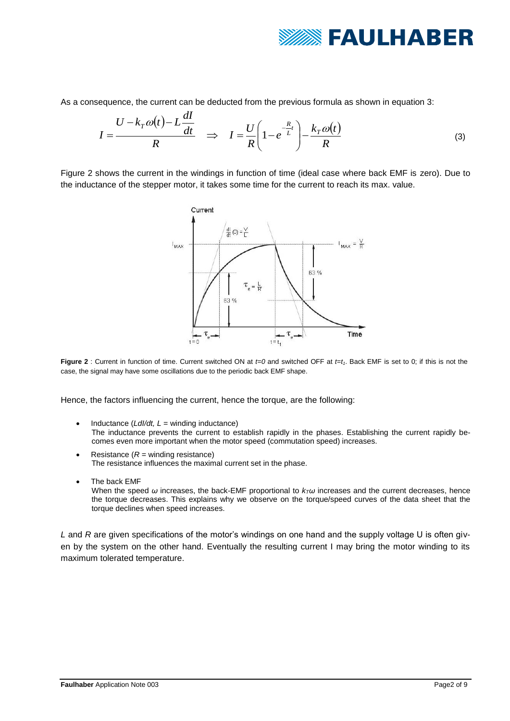

As a consequence, the current can be deducted from the previous formula as shown in equation 3:

$$
I = \frac{U - k_T \omega(t) - L \frac{dI}{dt}}{R} \Rightarrow I = \frac{U}{R} \left( 1 - e^{-\frac{R}{L}t} \right) - \frac{k_T \omega(t)}{R}
$$
(3)

[Figure 2](#page-1-0) shows the current in the windings in function of time (ideal case where back EMF is zero). Due to the inductance of the stepper motor, it takes some time for the current to reach its max. value.



<span id="page-1-0"></span>**Figure 2** : Current in function of time. Current switched ON at *t=0* and switched OFF at *t=t1*. Back EMF is set to 0; if this is not the case, the signal may have some oscillations due to the periodic back EMF shape.

Hence, the factors influencing the current, hence the torque, are the following:

- Inductance  $(Ld/dt, L =$  winding inductance) The inductance prevents the current to establish rapidly in the phases. Establishing the current rapidly becomes even more important when the motor speed (commutation speed) increases.
- Resistance (*R* = winding resistance) The resistance influences the maximal current set in the phase.
- The back FMF When the speed *ω* increases, the back-EMF proportional to *kTω* increases and the current decreases, hence the torque decreases. This explains why we observe on the torque/speed curves of the data sheet that the torque declines when speed increases.

*L* and *R* are given specifications of the motor's windings on one hand and the supply voltage U is often given by the system on the other hand. Eventually the resulting current I may bring the motor winding to its maximum tolerated temperature.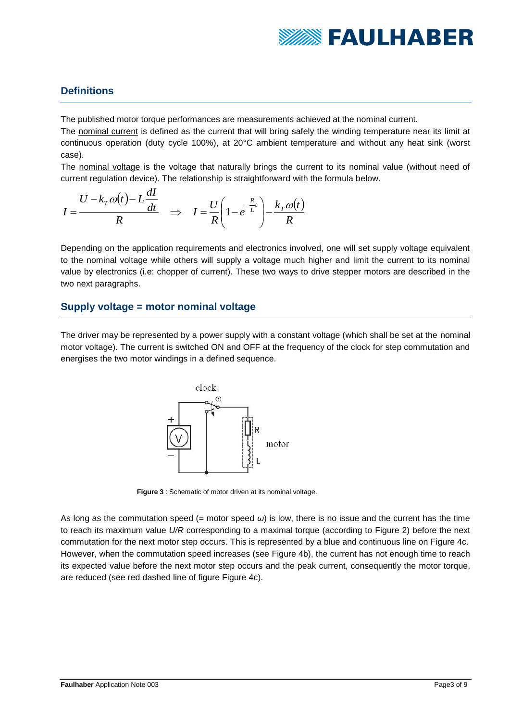

## **Definitions**

The published motor torque performances are measurements achieved at the nominal current.

The nominal current is defined as the current that will bring safely the winding temperature near its limit at continuous operation (duty cycle 100%), at 20°C ambient temperature and without any heat sink (worst case).

The nominal voltage is the voltage that naturally brings the current to its nominal value (without need of current regulation device). The relationship is straightforward with the formula below.

$$
I = \frac{U - k_T \omega(t) - L \frac{dI}{dt}}{R} \Rightarrow I = \frac{U}{R} \left( 1 - e^{-\frac{R}{L}t} \right) - \frac{k_T \omega(t)}{R}
$$

Depending on the application requirements and electronics involved, one will set supply voltage equivalent to the nominal voltage while others will supply a voltage much higher and limit the current to its nominal value by electronics (i.e: chopper of current). These two ways to drive stepper motors are described in the two next paragraphs.

## **Supply voltage = motor nominal voltage**

The driver may be represented by a power supply with a constant voltage (which shall be set at the nominal motor voltage). The current is switched ON and OFF at the frequency of the clock for step commutation and energises the two motor windings in a defined sequence.



<span id="page-2-0"></span>**Figure 3** : Schematic of motor driven at its nominal voltage.

As long as the commutation speed  $(=$  motor speed  $\omega$ ) is low, there is no issue and the current has the time to reach its maximum value *U/R* corresponding to a maximal torque (according to [Figure 2\)](#page-1-0) before the next commutation for the next motor step occurs. This is represented by a blue and continuous line on [Figure 4c](#page-3-0). However, when the commutation speed increases (see [Figure 4b](#page-3-0)), the current has not enough time to reach its expected value before the next motor step occurs and the peak current, consequently the motor torque, are reduced (see red dashed line of figure [Figure 4c](#page-3-0)).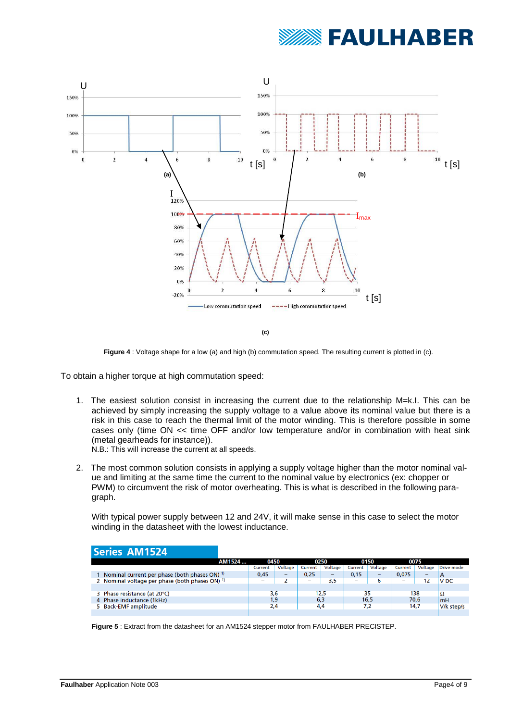



**Figure 4** : Voltage shape for a low (a) and high (b) commutation speed. The resulting current is plotted in (c).

<span id="page-3-0"></span>To obtain a higher torque at high commutation speed:

- 1. The easiest solution consist in increasing the current due to the relationship M=k.I. This can be achieved by simply increasing the supply voltage to a value above its nominal value but there is a risk in this case to reach the thermal limit of the motor winding. This is therefore possible in some cases only (time ON << time OFF and/or low temperature and/or in combination with heat sink (metal gearheads for instance)).
	- N.B.: This will increase the current at all speeds.
- 2. The most common solution consists in applying a supply voltage higher than the motor nominal value and limiting at the same time the current to the nominal value by electronics (ex: chopper or PWM) to circumvent the risk of motor overheating. This is what is described in the following paragraph.

With typical power supply between 12 and 24V, it will make sense in this case to select the motor winding in the datasheet with the lowest inductance.

#### **Series AM1524**

| AM1524                                                     | 0450                     |                          |                          | 0250    |         | 0150                     |                          | 0075    |                 |
|------------------------------------------------------------|--------------------------|--------------------------|--------------------------|---------|---------|--------------------------|--------------------------|---------|-----------------|
|                                                            | Current                  | Voltage                  | Current                  | Voltage | Current | Voltage                  | Current                  | Voltage | Drive mode      |
| Nominal current per phase (both phases ON) <sup>1)</sup>   | 0,45                     | $\overline{\phantom{0}}$ | 0,25                     | -       | 0,15    | $\overline{\phantom{0}}$ | 0,075                    | -       | A               |
| 2 Nominal voltage per phase (both phases ON) <sup>1)</sup> | $\overline{\phantom{a}}$ |                          | $\overline{\phantom{a}}$ | 3,5     | -       | ь                        | $\overline{\phantom{a}}$ | 12      | V <sub>DC</sub> |
|                                                            |                          |                          |                          |         |         |                          |                          |         |                 |
| 3 Phase resistance (at 20°C)                               | 3,6                      |                          | 12.5                     |         | 35      |                          | 138                      |         | Ω               |
| 4 Phase inductance (1kHz)                                  | 1,9                      |                          | 6,3                      |         | 16,5    |                          | 70,6                     |         | <b>mH</b>       |
| 5 Back-EMF amplitude                                       | 2,4                      |                          | 4,4                      |         | 7,2     |                          | 14,7                     |         | V/k step/s      |
|                                                            |                          |                          |                          |         |         |                          |                          |         |                 |

**Figure 5** : Extract from the datasheet for an AM1524 stepper motor from FAULHABER PRECISTEP.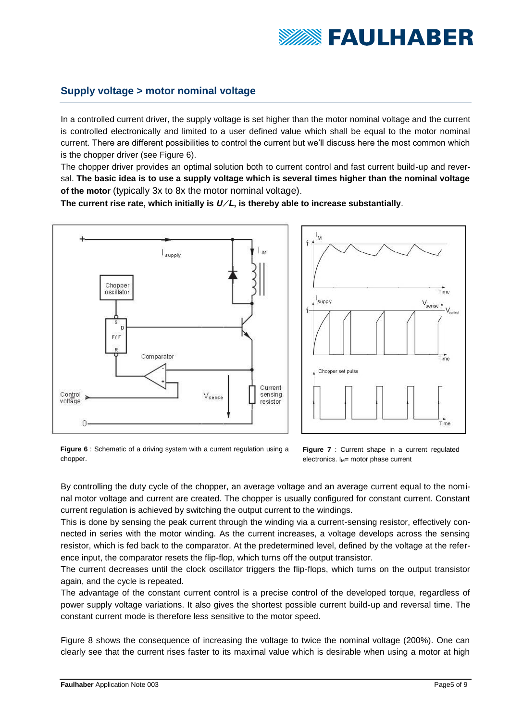

## **Supply voltage > motor nominal voltage**

In a controlled current driver, the supply voltage is set higher than the motor nominal voltage and the current is controlled electronically and limited to a user defined value which shall be equal to the motor nominal current. There are different possibilities to control the current but we'll discuss here the most common which is the chopper driver (see [Figure 6\)](#page-4-0).

The chopper driver provides an optimal solution both to current control and fast current build-up and reversal. **The basic idea is to use a supply voltage which is several times higher than the nominal voltage of the motor** (typically 3x to 8x the motor nominal voltage).

**The current rise rate, which initially is** *U ⁄ L***, is thereby able to increase substantially**.





<span id="page-4-0"></span>**Figure 6** : Schematic of a driving system with a current regulation using a chopper.



By controlling the duty cycle of the chopper, an average voltage and an average current equal to the nominal motor voltage and current are created. The chopper is usually configured for constant current. Constant current regulation is achieved by switching the output current to the windings.

This is done by sensing the peak current through the winding via a current-sensing resistor, effectively connected in series with the motor winding. As the current increases, a voltage develops across the sensing resistor, which is fed back to the comparator. At the predetermined level, defined by the voltage at the reference input, the comparator resets the flip-flop, which turns off the output transistor.

The current decreases until the clock oscillator triggers the flip-flops, which turns on the output transistor again, and the cycle is repeated.

The advantage of the constant current control is a precise control of the developed torque, regardless of power supply voltage variations. It also gives the shortest possible current build-up and reversal time. The constant current mode is therefore less sensitive to the motor speed.

[Figure 8](#page-5-0) shows the consequence of increasing the voltage to twice the nominal voltage (200%). One can clearly see that the current rises faster to its maximal value which is desirable when using a motor at high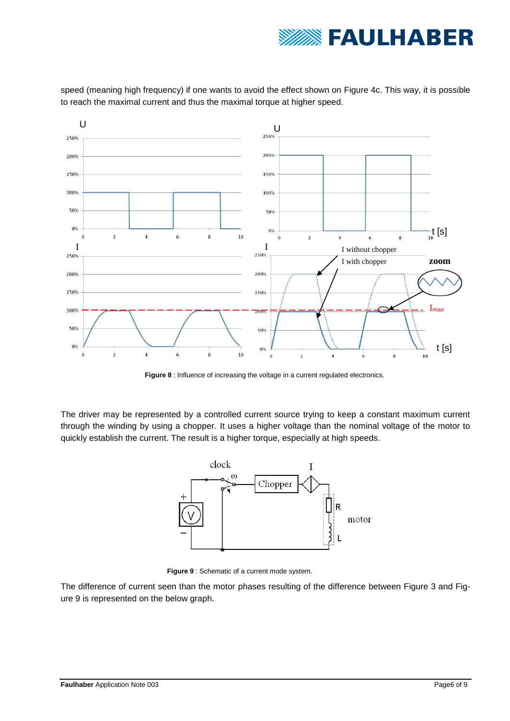

speed (meaning high frequency) if one wants to avoid the effect shown on [Figure 4c](#page-3-0). This way, it is possible to reach the maximal current and thus the maximal torque at higher speed.



**Figure 8** : Influence of increasing the voltage in a current regulated electronics.

<span id="page-5-0"></span>The driver may be represented by a controlled current source trying to keep a constant maximum current through the winding by using a chopper. It uses a higher voltage than the nominal voltage of the motor to quickly establish the current. The result is a higher torque, especially at high speeds.



<span id="page-5-1"></span>**Figure 9** : Schematic of a current mode system.

The difference of current seen than the motor phases resulting of the difference between [Figure 3](#page-2-0) and [Fig](#page-5-1)[ure 9](#page-5-1) is represented on the below graph.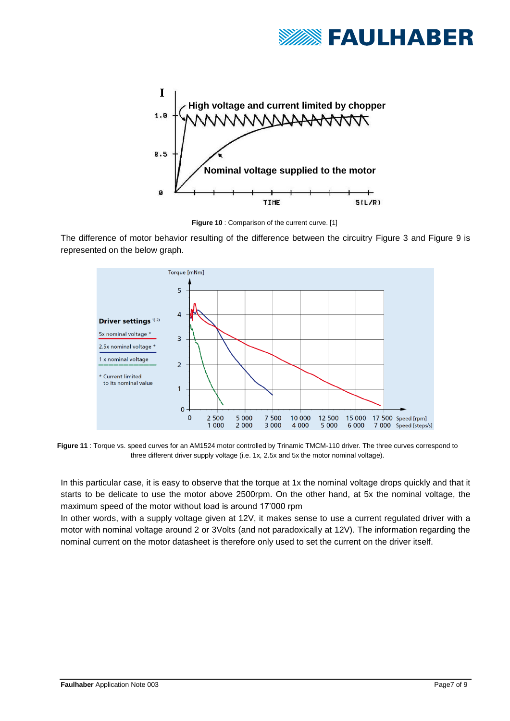



**Figure 10** : Comparison of the current curve. [1]

The difference of motor behavior resulting of the difference between the circuitry [Figure 3](#page-2-0) and [Figure 9](#page-5-1) is represented on the below graph.



**Figure 11** : Torque vs. speed curves for an AM1524 motor controlled by Trinamic TMCM-110 driver. The three curves correspond to three different driver supply voltage (i.e. 1x, 2.5x and 5x the motor nominal voltage).

In this particular case, it is easy to observe that the torque at 1x the nominal voltage drops quickly and that it starts to be delicate to use the motor above 2500rpm. On the other hand, at 5x the nominal voltage, the maximum speed of the motor without load is around 17'000 rpm

In other words, with a supply voltage given at 12V, it makes sense to use a current regulated driver with a motor with nominal voltage around 2 or 3Volts (and not paradoxically at 12V). The information regarding the nominal current on the motor datasheet is therefore only used to set the current on the driver itself.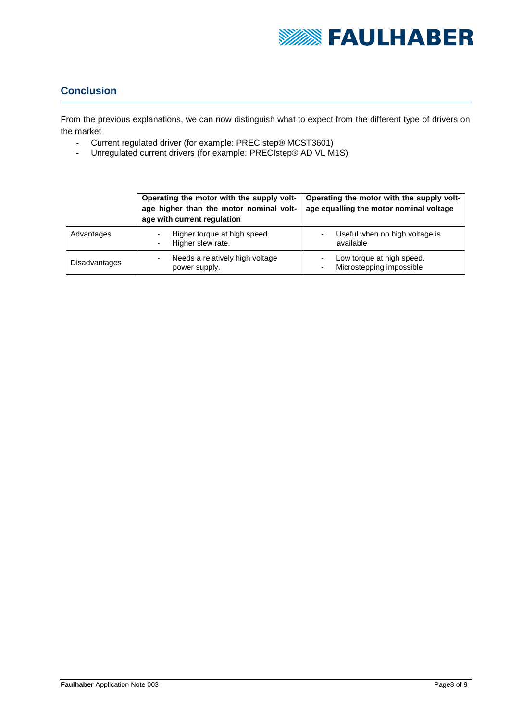

## **Conclusion**

From the previous explanations, we can now distinguish what to expect from the different type of drivers on the market

- Current regulated driver (for example: PRECIstep® MCST3601)<br>- Unregulated current drivers (for example: PRECIstep® AD VL M1
- Unregulated current drivers (for example: PRECIstep® AD VL M1S)

|               | Operating the motor with the supply volt-<br>age higher than the motor nominal volt-<br>age with current regulation | Operating the motor with the supply volt-<br>age equalling the motor nominal voltage |  |  |  |  |
|---------------|---------------------------------------------------------------------------------------------------------------------|--------------------------------------------------------------------------------------|--|--|--|--|
| Advantages    | Higher torque at high speed.<br>-<br>Higher slew rate.<br>$\blacksquare$                                            | Useful when no high voltage is<br>available                                          |  |  |  |  |
| Disadvantages | Needs a relatively high voltage<br>۰<br>power supply.                                                               | Low torque at high speed.<br>Microstepping impossible                                |  |  |  |  |